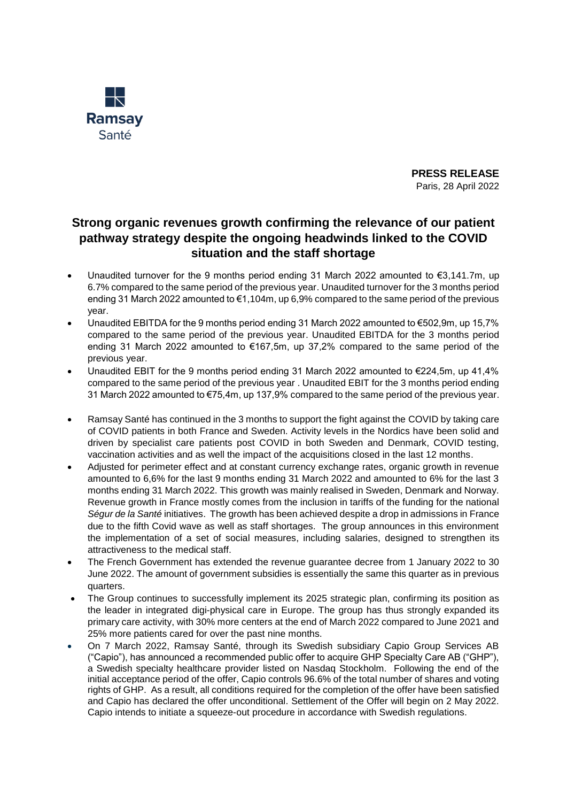

**PRESS RELEASE** Paris, 28 April 2022

## **Strong organic revenues growth confirming the relevance of our patient pathway strategy despite the ongoing headwinds linked to the COVID situation and the staff shortage**

- Unaudited turnover for the 9 months period ending 31 March 2022 amounted to  $\epsilon$ 3,141.7m, up 6.7% compared to the same period of the previous year. Unaudited turnover for the 3 months period ending 31 March 2022 amounted to €1,104m, up 6,9% compared to the same period of the previous year.
- Unaudited EBITDA for the 9 months period ending 31 March 2022 amounted to €502,9m, up 15,7% compared to the same period of the previous year. Unaudited EBITDA for the 3 months period ending 31 March 2022 amounted to €167,5m, up 37,2% compared to the same period of the previous year.
- Unaudited EBIT for the 9 months period ending 31 March 2022 amounted to €224,5m, up 41,4% compared to the same period of the previous year . Unaudited EBIT for the 3 months period ending 31 March 2022 amounted to €75,4m, up 137,9% compared to the same period of the previous year.
- Ramsay Santé has continued in the 3 months to support the fight against the COVID by taking care of COVID patients in both France and Sweden. Activity levels in the Nordics have been solid and driven by specialist care patients post COVID in both Sweden and Denmark, COVID testing, vaccination activities and as well the impact of the acquisitions closed in the last 12 months.
- Adjusted for perimeter effect and at constant currency exchange rates, organic growth in revenue amounted to 6,6% for the last 9 months ending 31 March 2022 and amounted to 6% for the last 3 months ending 31 March 2022. This growth was mainly realised in Sweden, Denmark and Norway. Revenue growth in France mostly comes from the inclusion in tariffs of the funding for the national *Ségur de la Santé* initiatives. The growth has been achieved despite a drop in admissions in France due to the fifth Covid wave as well as staff shortages. The group announces in this environment the implementation of a set of social measures, including salaries, designed to strengthen its attractiveness to the medical staff.
- The French Government has extended the revenue guarantee decree from 1 January 2022 to 30 June 2022. The amount of government subsidies is essentially the same this quarter as in previous quarters.
- The Group continues to successfully implement its 2025 strategic plan, confirming its position as the leader in integrated digi-physical care in Europe. The group has thus strongly expanded its primary care activity, with 30% more centers at the end of March 2022 compared to June 2021 and 25% more patients cared for over the past nine months.
- On 7 March 2022, Ramsay Santé, through its Swedish subsidiary Capio Group Services AB ("Capio"), has announced a recommended public offer to acquire GHP Specialty Care AB ("GHP"), a Swedish specialty healthcare provider listed on Nasdaq Stockholm. Following the end of the initial acceptance period of the offer, Capio controls 96.6% of the total number of shares and voting rights of GHP. As a result, all conditions required for the completion of the offer have been satisfied and Capio has declared the offer unconditional. Settlement of the Offer will begin on 2 May 2022. Capio intends to initiate a squeeze-out procedure in accordance with Swedish regulations.